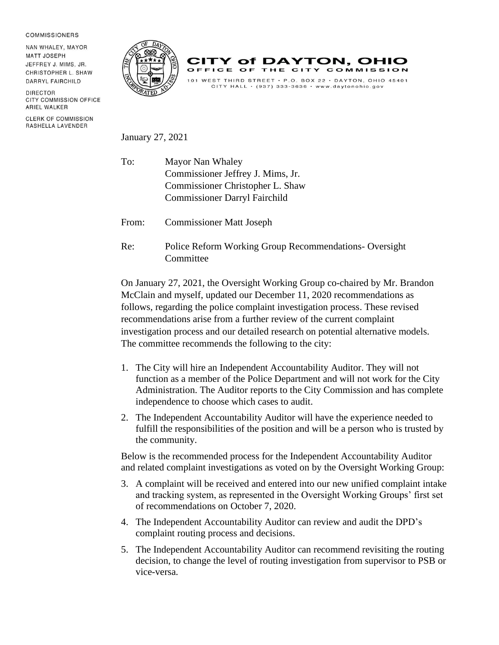## **COMMISSIONERS**

NAN WHALEY, MAYOR **MATT JOSEPH** JEFFREY J. MIMS, JR. CHRISTOPHER L. SHAW DARRYL FAIRCHILD

DIRECTOR **CITY COMMISSION OFFICE** ARIEL WALKER

**CLERK OF COMMISSION** RASHELLA LAVENDER





January 27, 2021

- To: Mayor Nan Whaley Commissioner Jeffrey J. Mims, Jr. Commissioner Christopher L. Shaw Commissioner Darryl Fairchild
- From: Commissioner Matt Joseph
- Re: Police Reform Working Group Recommendations- Oversight **Committee**

On January 27, 2021, the Oversight Working Group co-chaired by Mr. Brandon McClain and myself, updated our December 11, 2020 recommendations as follows, regarding the police complaint investigation process. These revised recommendations arise from a further review of the current complaint investigation process and our detailed research on potential alternative models. The committee recommends the following to the city:

- 1. The City will hire an Independent Accountability Auditor. They will not function as a member of the Police Department and will not work for the City Administration. The Auditor reports to the City Commission and has complete independence to choose which cases to audit.
- 2. The Independent Accountability Auditor will have the experience needed to fulfill the responsibilities of the position and will be a person who is trusted by the community.

Below is the recommended process for the Independent Accountability Auditor and related complaint investigations as voted on by the Oversight Working Group:

- 3. A complaint will be received and entered into our new unified complaint intake and tracking system, as represented in the Oversight Working Groups' first set of recommendations on October 7, 2020.
- 4. The Independent Accountability Auditor can review and audit the DPD's complaint routing process and decisions.
- 5. The Independent Accountability Auditor can recommend revisiting the routing decision, to change the level of routing investigation from supervisor to PSB or vice-versa.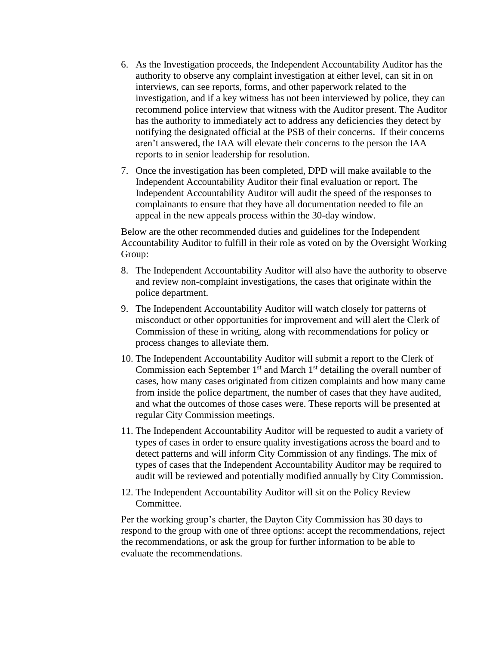- 6. As the Investigation proceeds, the Independent Accountability Auditor has the authority to observe any complaint investigation at either level, can sit in on interviews, can see reports, forms, and other paperwork related to the investigation, and if a key witness has not been interviewed by police, they can recommend police interview that witness with the Auditor present. The Auditor has the authority to immediately act to address any deficiencies they detect by notifying the designated official at the PSB of their concerns. If their concerns aren't answered, the IAA will elevate their concerns to the person the IAA reports to in senior leadership for resolution.
- 7. Once the investigation has been completed, DPD will make available to the Independent Accountability Auditor their final evaluation or report. The Independent Accountability Auditor will audit the speed of the responses to complainants to ensure that they have all documentation needed to file an appeal in the new appeals process within the 30-day window.

Below are the other recommended duties and guidelines for the Independent Accountability Auditor to fulfill in their role as voted on by the Oversight Working Group:

- 8. The Independent Accountability Auditor will also have the authority to observe and review non-complaint investigations, the cases that originate within the police department.
- 9. The Independent Accountability Auditor will watch closely for patterns of misconduct or other opportunities for improvement and will alert the Clerk of Commission of these in writing, along with recommendations for policy or process changes to alleviate them.
- 10. The Independent Accountability Auditor will submit a report to the Clerk of Commission each September  $1<sup>st</sup>$  and March  $1<sup>st</sup>$  detailing the overall number of cases, how many cases originated from citizen complaints and how many came from inside the police department, the number of cases that they have audited, and what the outcomes of those cases were. These reports will be presented at regular City Commission meetings.
- 11. The Independent Accountability Auditor will be requested to audit a variety of types of cases in order to ensure quality investigations across the board and to detect patterns and will inform City Commission of any findings. The mix of types of cases that the Independent Accountability Auditor may be required to audit will be reviewed and potentially modified annually by City Commission.
- 12. The Independent Accountability Auditor will sit on the Policy Review Committee.

Per the working group's charter, the Dayton City Commission has 30 days to respond to the group with one of three options: accept the recommendations, reject the recommendations, or ask the group for further information to be able to evaluate the recommendations.